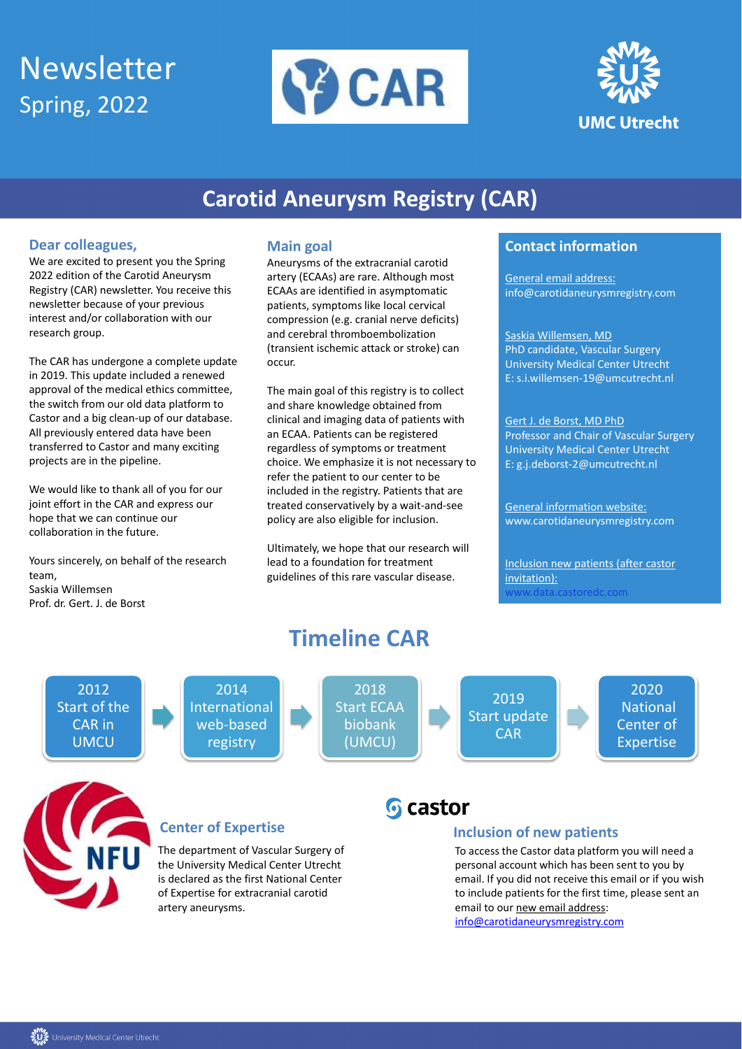# Newsletter Spring, 2022





# **Carotid Aneurysm Registry (CAR)**

## **Dear colleagues,**

We are excited to present you the Spring 2022 edition of the Carotid Aneurysm Registry (CAR) newsletter. You receive this newsletter because of your previous interest and/or collaboration with our research group.

The CAR has undergone a complete update in 2019. This update included a renewed approval of the medical ethics committee, the switch from our old data platform to Castor and a big clean-up of our database. All previously entered data have been transferred to Castor and many exciting projects are in the pipeline.

We would like to thank all of you for our joint effort in the CAR and express our hope that we can continue our collaboration in the future.

Yours sincerely, on behalf of the research team, Saskia Willemsen Prof. dr. Gert. J. de Borst

#### **Main goal**

Aneurysms of the extracranial carotid artery (ECAAs) are rare. Although most ECAAs are identified in asymptomatic patients, symptoms like local cervical compression (e.g. cranial nerve deficits) and cerebral thromboembolization (transient ischemic attack or stroke) can occur.

> To access the Castor data platform you will need a personal account which has been sent to you by email. If you did not receive this email or if you wish to include patients for the first time, please sent an email to our new email address:

The main goal of this registry is to collect and share knowledge obtained from clinical and imaging data of patients with an ECAA. Patients can be registered regardless of symptoms or treatment choice. We emphasize it is not necessary to refer the patient to our center to be included in the registry. Patients that are treated conservatively by a wait-and-see policy are also eligible for inclusion.

Ultimately, we hope that our research will lead to a foundation for treatment guidelines of this rare vascular disease.

## **Contact information**

General email address: info@carotidaneurysmregistry.com

Saskia Willemsen, MD PhD candidate, Vascular Surgery University Medical Center Utrecht E: s.i.willemsen-19@umcutrecht.nl

Gert J. de Borst, MD PhD Professor and Chair of Vascular Surgery University Medical Center Utrecht E: g.j.deborst-2@umcutrecht.nl

General information website: www.carotidaneurysmregistry.com

Inclusion new patients (after castor invitation): www.data.castoredc.com



**Timeline CAR**



#### **Inclusion of new patients**

[info@carotidaneurysmregistry.com](mailto:info@carotidaneurysmregistry.com)



The department of Vascular Surgery of the University Medical Center Utrecht is declared as the first National Center of Expertise for extracranial carotid artery aneurysms.



#### **Center of Expertise**